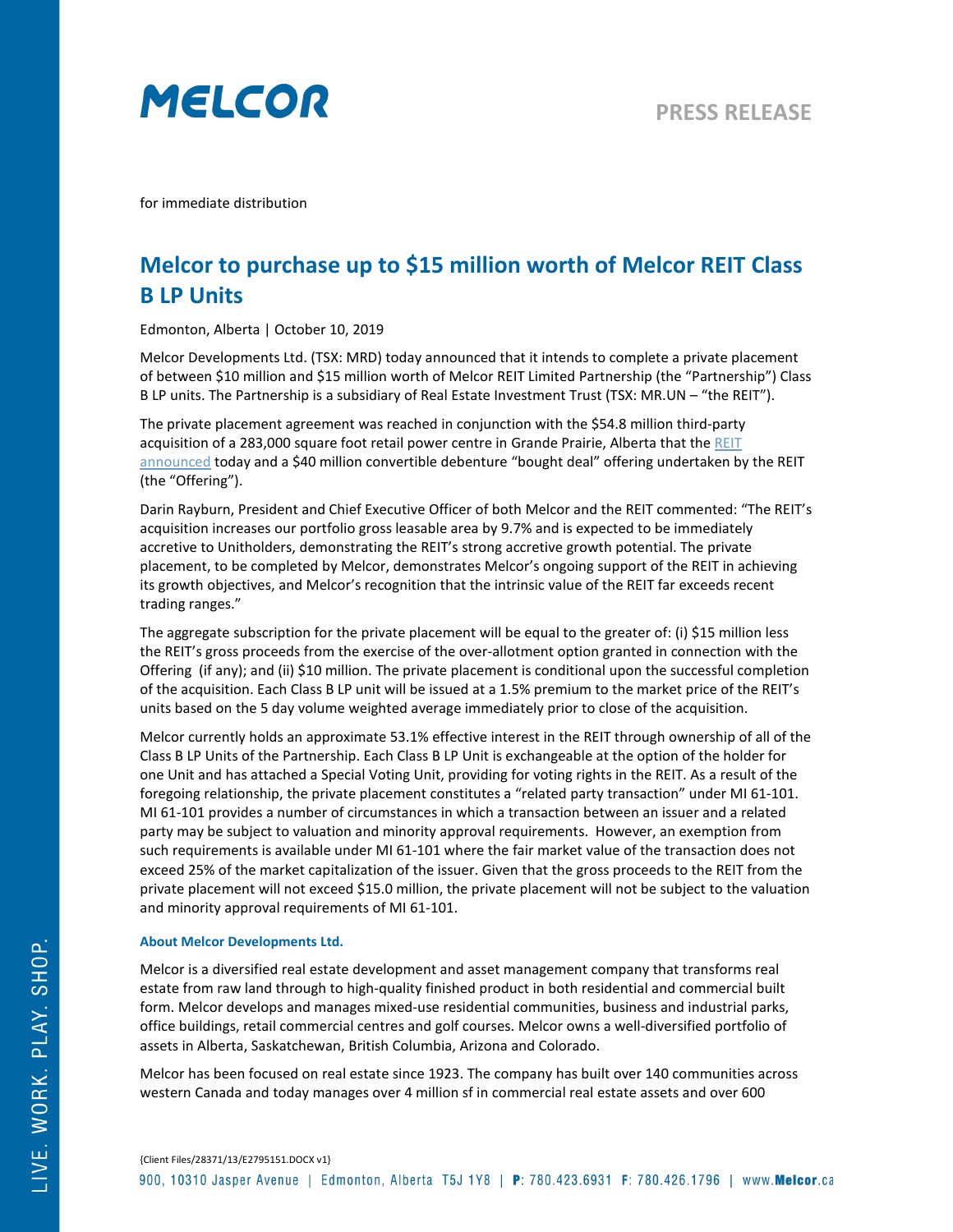

for immediate distribution

## **Melcor to purchase up to \$15 million worth of Melcor REIT Class B LP Units**

Edmonton, Alberta | October 10, 2019

Melcor Developments Ltd. (TSX: MRD) today announced that it intends to complete a private placement of between \$10 million and \$15 million worth of Melcor REIT Limited Partnership (the "Partnership") Class B LP units. The Partnership is a subsidiary of Real Estate Investment Trust (TSX: MR.UN – "the REIT").

The private placement agreement was reached in conjunction with the \$54.8 million third-party acquisition of a 283,000 square foot retail power centre in Grande Prairie, Alberta that the REIT [announced](https://melcorreit.ca/2019/10/54-8-million-third-party-acquisition/) today and a \$40 million convertible debenture "bought deal" offering undertaken by the REIT (the "Offering").

Darin Rayburn, President and Chief Executive Officer of both Melcor and the REIT commented: "The REIT's acquisition increases our portfolio gross leasable area by 9.7% and is expected to be immediately accretive to Unitholders, demonstrating the REIT's strong accretive growth potential. The private placement, to be completed by Melcor, demonstrates Melcor's ongoing support of the REIT in achieving its growth objectives, and Melcor's recognition that the intrinsic value of the REIT far exceeds recent trading ranges."

The aggregate subscription for the private placement will be equal to the greater of: (i) \$15 million less the REIT's gross proceeds from the exercise of the over-allotment option granted in connection with the Offering (if any); and (ii) \$10 million. The private placement is conditional upon the successful completion of the acquisition. Each Class B LP unit will be issued at a 1.5% premium to the market price of the REIT's units based on the 5 day volume weighted average immediately prior to close of the acquisition.

Melcor currently holds an approximate 53.1% effective interest in the REIT through ownership of all of the Class B LP Units of the Partnership. Each Class B LP Unit is exchangeable at the option of the holder for one Unit and has attached a Special Voting Unit, providing for voting rights in the REIT. As a result of the foregoing relationship, the private placement constitutes a "related party transaction" under MI 61-101. MI 61-101 provides a number of circumstances in which a transaction between an issuer and a related party may be subject to valuation and minority approval requirements. However, an exemption from such requirements is available under MI 61-101 where the fair market value of the transaction does not exceed 25% of the market capitalization of the issuer. Given that the gross proceeds to the REIT from the private placement will not exceed \$15.0 million, the private placement will not be subject to the valuation and minority approval requirements of MI 61-101.

## **About Melcor Developments Ltd.**

Melcor is a diversified real estate development and asset management company that transforms real estate from raw land through to high-quality finished product in both residential and commercial built form. Melcor develops and manages mixed-use residential communities, business and industrial parks, office buildings, retail commercial centres and golf courses. Melcor owns a well-diversified portfolio of assets in Alberta, Saskatchewan, British Columbia, Arizona and Colorado.

Melcor has been focused on real estate since 1923. The company has built over 140 communities across western Canada and today manages over 4 million sf in commercial real estate assets and over 600